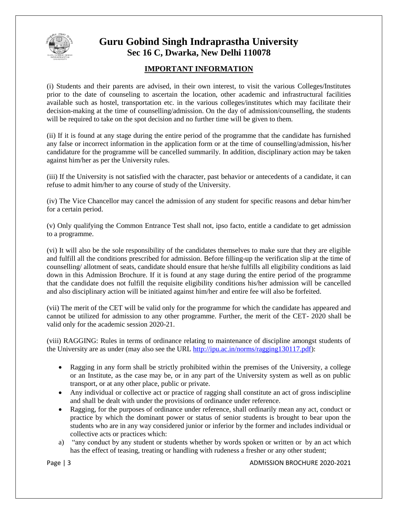

### **Guru Gobind Singh Indraprastha University Sec 16 C, Dwarka, New Delhi 110078**

### **IMPORTANT INFORMATION**

(i) Students and their parents are advised, in their own interest, to visit the various Colleges/Institutes prior to the date of counseling to ascertain the location, other academic and infrastructural facilities available such as hostel, transportation etc. in the various colleges/institutes which may facilitate their decision-making at the time of counselling/admission. On the day of admission/counselling, the students will be required to take on the spot decision and no further time will be given to them.

(ii) If it is found at any stage during the entire period of the programme that the candidate has furnished any false or incorrect information in the application form or at the time of counselling/admission, his/her candidature for the programme will be cancelled summarily. In addition, disciplinary action may be taken against him/her as per the University rules.

(iii) If the University is not satisfied with the character, past behavior or antecedents of a candidate, it can refuse to admit him/her to any course of study of the University.

(iv) The Vice Chancellor may cancel the admission of any student for specific reasons and debar him/her for a certain period.

(v) Only qualifying the Common Entrance Test shall not, ipso facto, entitle a candidate to get admission to a programme.

(vi) It will also be the sole responsibility of the candidates themselves to make sure that they are eligible and fulfill all the conditions prescribed for admission. Before filling-up the verification slip at the time of counselling/ allotment of seats, candidate should ensure that he/she fulfills all eligibility conditions as laid down in this Admission Brochure. If it is found at any stage during the entire period of the programme that the candidate does not fulfill the requisite eligibility conditions his/her admission will be cancelled and also disciplinary action will be initiated against him/her and entire fee will also be forfeited.

(vii) The merit of the CET will be valid only for the programme for which the candidate has appeared and cannot be utilized for admission to any other programme. Further, the merit of the CET- 2020 shall be valid only for the academic session 2020-21.

(viii) RAGGING: Rules in terms of ordinance relating to maintenance of discipline amongst students of the University are as under (may also see the URL [http://ipu.ac.in/norms/ragging130117.pdf\)](http://ipu.ac.in/norms/ragging130117.pdf):

- Ragging in any form shall be strictly prohibited within the premises of the University, a college or an Institute, as the case may be, or in any part of the University system as well as on public transport, or at any other place, public or private.
- Any individual or collective act or practice of ragging shall constitute an act of gross indiscipline and shall be dealt with under the provisions of ordinance under reference.
- Ragging, for the purposes of ordinance under reference, shall ordinarily mean any act, conduct or practice by which the dominant power or status of senior students is brought to bear upon the students who are in any way considered junior or inferior by the former and includes individual or collective acts or practices which:
- a) "any conduct by any student or students whether by words spoken or written or by an act which has the effect of teasing, treating or handling with rudeness a fresher or any other student;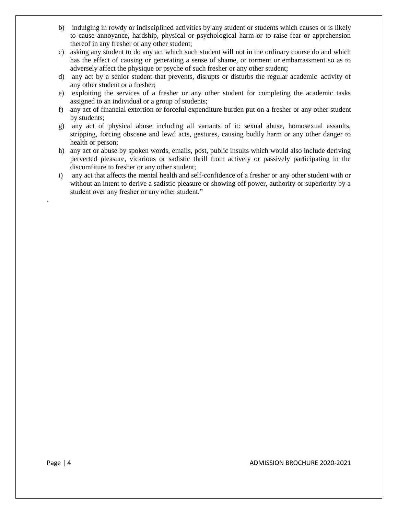- b) indulging in rowdy or indisciplined activities by any student or students which causes or is likely to cause annoyance, hardship, physical or psychological harm or to raise fear or apprehension thereof in any fresher or any other student;
- c) asking any student to do any act which such student will not in the ordinary course do and which has the effect of causing or generating a sense of shame, or torment or embarrassment so as to adversely affect the physique or psyche of such fresher or any other student;
- d) any act by a senior student that prevents, disrupts or disturbs the regular academic activity of any other student or a fresher;
- e) exploiting the services of a fresher or any other student for completing the academic tasks assigned to an individual or a group of students;
- f) any act of financial extortion or forceful expenditure burden put on a fresher or any other student by students;
- g) any act of physical abuse including all variants of it: sexual abuse, homosexual assaults, stripping, forcing obscene and lewd acts, gestures, causing bodily harm or any other danger to health or person;
- h) any act or abuse by spoken words, emails, post, public insults which would also include deriving perverted pleasure, vicarious or sadistic thrill from actively or passively participating in the discomfiture to fresher or any other student;
- i) any act that affects the mental health and self-confidence of a fresher or any other student with or without an intent to derive a sadistic pleasure or showing off power, authority or superiority by a student over any fresher or any other student."

.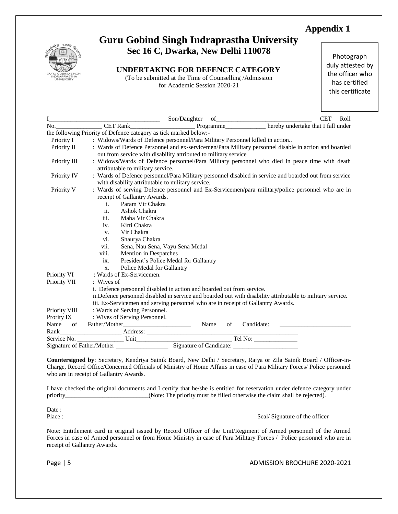

### **Guru Gobind Singh Indraprastha University Sec 16 C, Dwarka, New Delhi 110078**

**UNDERTAKING FOR DEFENCE CATEGORY**

(To be submitted at the Time of Counselling /Admission for Academic Session 2020-21

Photograph duly attested by the officer who has certified this certificate

|               | I Son/Daughter of CET Roll<br>No. CET Rank CET Rank Programme hereby undertake that I fall under                                                                                                                                       |                                                                                                                                                                                                                                                                          |    |            |  |  |  |  |
|---------------|----------------------------------------------------------------------------------------------------------------------------------------------------------------------------------------------------------------------------------------|--------------------------------------------------------------------------------------------------------------------------------------------------------------------------------------------------------------------------------------------------------------------------|----|------------|--|--|--|--|
|               | the following Priority of Defence category as tick marked below:-                                                                                                                                                                      |                                                                                                                                                                                                                                                                          |    |            |  |  |  |  |
| Priority I    |                                                                                                                                                                                                                                        | : Widows/Wards of Defence personnel/Para Military Personnel killed in action                                                                                                                                                                                             |    |            |  |  |  |  |
| Priority II   | : Wards of Defence Personnel and ex-servicemen/Para Military personnel disable in action and boarded<br>out from service with disability attributed to military service                                                                |                                                                                                                                                                                                                                                                          |    |            |  |  |  |  |
| Priority III  | attributable to military service.                                                                                                                                                                                                      | : Widows/Wards of Defence personnel/Para Military personnel who died in peace time with death                                                                                                                                                                            |    |            |  |  |  |  |
| Priority IV   |                                                                                                                                                                                                                                        | : Wards of Defence personnel/Para Military personnel disabled in service and boarded out from service<br>with disability attributable to military service.                                                                                                               |    |            |  |  |  |  |
| Priority V    | receipt of Gallantry Awards.<br>Param Vir Chakra<br>$i$ .<br>ii.<br>Ashok Chakra<br>Maha Vir Chakra<br>iii.<br>Kirti Chakra<br>iv.<br>Vir Chakra<br>V.<br>Shaurya Chakra<br>vi.<br>vii.<br>viii.<br>Mention in Despatches<br>ix.<br>X. | : Wards of serving Defence personnel and Ex-Servicemen/para military/police personnel who are in<br>Sena, Nau Sena, Vayu Sena Medal<br>President's Police Medal for Gallantry<br>Police Medal for Gallantry                                                              |    |            |  |  |  |  |
| Priority VI   | : Wards of Ex-Servicemen.                                                                                                                                                                                                              |                                                                                                                                                                                                                                                                          |    |            |  |  |  |  |
| Priority VII  | $:$ Wives of                                                                                                                                                                                                                           |                                                                                                                                                                                                                                                                          |    |            |  |  |  |  |
|               |                                                                                                                                                                                                                                        | i. Defence personnel disabled in action and boarded out from service.<br>ii. Defence personnel disabled in service and boarded out with disability attributable to military service.<br>iii. Ex-Servicemen and serving personnel who are in receipt of Gallantry Awards. |    |            |  |  |  |  |
| Priority VIII | : Wards of Serving Personnel.                                                                                                                                                                                                          |                                                                                                                                                                                                                                                                          |    |            |  |  |  |  |
| Prority IX    | : Wives of Serving Personnel.                                                                                                                                                                                                          |                                                                                                                                                                                                                                                                          |    |            |  |  |  |  |
| Name          |                                                                                                                                                                                                                                        |                                                                                                                                                                                                                                                                          | of | Candidate: |  |  |  |  |
| Rank          |                                                                                                                                                                                                                                        |                                                                                                                                                                                                                                                                          |    |            |  |  |  |  |
|               |                                                                                                                                                                                                                                        |                                                                                                                                                                                                                                                                          |    |            |  |  |  |  |
|               |                                                                                                                                                                                                                                        |                                                                                                                                                                                                                                                                          |    |            |  |  |  |  |

**Countersigned by**: Secretary, Kendriya Sainik Board, New Delhi / Secretary, Rajya or Zila Sainik Board / Officer-in-Charge, Record Office/Concerned Officials of Ministry of Home Affairs in case of Para Military Forces/ Police personnel who are in receipt of Gallantry Awards.

I have checked the original documents and I certify that he/she is entitled for reservation under defence category under priority\_\_\_\_\_\_\_\_\_\_\_\_\_\_\_\_\_\_\_\_(Note: The priority must be filled otherwise the claim shall be rejected).

Date:

Place : Seal/Signature of the officer

Note: Entitlement card in original issued by Record Officer of the Unit/Regiment of Armed personnel of the Armed Forces in case of Armed personnel or from Home Ministry in case of Para Military Forces / Police personnel who are in receipt of Gallantry Awards.

Page | 5 ADMISSION BROCHURE 2020-2021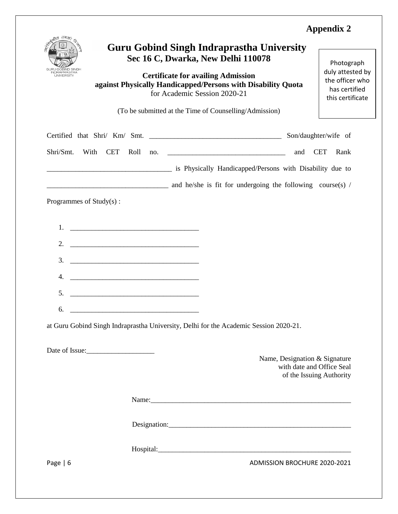| तमक<br>RAPRASTHA                                                                                                                                                                                                                 | <b>Guru Gobind Singh Indraprastha University</b><br>Sec 16 C, Dwarka, New Delhi 110078<br><b>Certificate for availing Admission</b><br>against Physically Handicapped/Persons with Disability Quota<br>for Academic Session 2020-21<br>(To be submitted at the Time of Counselling/Admission) |     | Photograph<br>duly attested by<br>the officer who<br>has certified<br>this certificate |
|----------------------------------------------------------------------------------------------------------------------------------------------------------------------------------------------------------------------------------|-----------------------------------------------------------------------------------------------------------------------------------------------------------------------------------------------------------------------------------------------------------------------------------------------|-----|----------------------------------------------------------------------------------------|
|                                                                                                                                                                                                                                  |                                                                                                                                                                                                                                                                                               |     | Son/daughter/wife of                                                                   |
| Shri/Smt.<br>With<br><b>CET</b><br>Roll                                                                                                                                                                                          | $\frac{100}{200}$                                                                                                                                                                                                                                                                             | and | <b>CET</b><br>Rank                                                                     |
|                                                                                                                                                                                                                                  | is Physically Handicapped/Persons with Disability due to                                                                                                                                                                                                                                      |     |                                                                                        |
|                                                                                                                                                                                                                                  | and he/she is fit for undergoing the following course(s) /                                                                                                                                                                                                                                    |     |                                                                                        |
| <u> 1989 - Jan James James Barnett, fransk politik (d. 1989)</u><br>1.<br>2.<br><u> 1989 - Johann John Stein, fransk politik (d. 1989)</u><br>3.<br><u> 1989 - Johann John Stein, fransk politik (d. 1989)</u><br>4.<br>5.<br>6. | at Guru Gobind Singh Indraprastha University, Delhi for the Academic Session 2020-21.                                                                                                                                                                                                         |     |                                                                                        |
|                                                                                                                                                                                                                                  |                                                                                                                                                                                                                                                                                               |     | Name, Designation & Signature<br>with date and Office Seal<br>of the Issuing Authority |
|                                                                                                                                                                                                                                  |                                                                                                                                                                                                                                                                                               |     |                                                                                        |
|                                                                                                                                                                                                                                  |                                                                                                                                                                                                                                                                                               |     |                                                                                        |
|                                                                                                                                                                                                                                  |                                                                                                                                                                                                                                                                                               |     |                                                                                        |
| Page $  6$                                                                                                                                                                                                                       |                                                                                                                                                                                                                                                                                               |     | <b>ADMISSION BROCHURE 2020-2021</b>                                                    |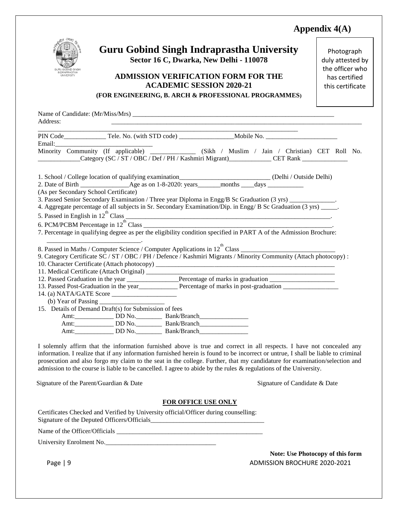### **Appendix 4(A)**



### **Guru Gobind Singh Indraprastha University Sector 16 C, Dwarka, New Delhi - 110078**

### **ADMISSION VERIFICATION FORM FOR THE ACADEMIC SESSION 2020-21**

Photograph duly attested by the officer who has certified this certificate

|  |  | (FOR ENGINEERING, B. ARCH & PROFESSIONAL PROGRAMMES) |
|--|--|------------------------------------------------------|
|  |  |                                                      |

|                                                                                   |                                                                                   | Minority Community (If applicable) ___________ (Sikh / Muslim / Jain / Christian) CET Roll No.                                                                                                                                                     |  |
|-----------------------------------------------------------------------------------|-----------------------------------------------------------------------------------|----------------------------------------------------------------------------------------------------------------------------------------------------------------------------------------------------------------------------------------------------|--|
|                                                                                   |                                                                                   | Category (SC / ST / OBC / Def / PH / Kashmiri Migrant)<br>CET Rank                                                                                                                                                                                 |  |
|                                                                                   |                                                                                   |                                                                                                                                                                                                                                                    |  |
|                                                                                   |                                                                                   |                                                                                                                                                                                                                                                    |  |
|                                                                                   |                                                                                   |                                                                                                                                                                                                                                                    |  |
| (As per Secondary School Certificate)                                             |                                                                                   |                                                                                                                                                                                                                                                    |  |
|                                                                                   |                                                                                   | 3. Passed Senior Secondary Examination / Three year Diploma in Engg/B Sc Graduation (3 yrs) _____________.                                                                                                                                         |  |
|                                                                                   |                                                                                   | 4. Aggregate percentage of all subjects in Sr. Secondary Examination/Dip. in Engg/ B Sc Graduation (3 yrs) _____.                                                                                                                                  |  |
|                                                                                   |                                                                                   |                                                                                                                                                                                                                                                    |  |
|                                                                                   |                                                                                   |                                                                                                                                                                                                                                                    |  |
|                                                                                   |                                                                                   | 7. Percentage in qualifying degree as per the eligibility condition specified in PART A of the Admission Brochure:                                                                                                                                 |  |
| the contract of the contract of the contract of the contract of the contract of   |                                                                                   |                                                                                                                                                                                                                                                    |  |
|                                                                                   |                                                                                   |                                                                                                                                                                                                                                                    |  |
|                                                                                   |                                                                                   | 9. Category Certificate SC / ST / OBC / PH / Defence / Kashmiri Migrants / Minority Community (Attach photocopy):                                                                                                                                  |  |
|                                                                                   |                                                                                   |                                                                                                                                                                                                                                                    |  |
|                                                                                   |                                                                                   |                                                                                                                                                                                                                                                    |  |
|                                                                                   |                                                                                   | 12. Passed Graduation in the year _________________Percentage of marks in graduation _________________________                                                                                                                                     |  |
|                                                                                   |                                                                                   | 13. Passed Post-Graduation in the year<br><u>Percentage</u> of marks in post-graduation<br><u>Interaction</u>                                                                                                                                      |  |
|                                                                                   |                                                                                   |                                                                                                                                                                                                                                                    |  |
| (b) Year of Passing $\frac{1}{2}$                                                 |                                                                                   |                                                                                                                                                                                                                                                    |  |
| 15. Details of Demand Draft(s) for Submission of fees                             |                                                                                   |                                                                                                                                                                                                                                                    |  |
|                                                                                   | Amt: _______________ DD No. ___________ Bank/Branch______________________________ |                                                                                                                                                                                                                                                    |  |
|                                                                                   |                                                                                   |                                                                                                                                                                                                                                                    |  |
|                                                                                   |                                                                                   |                                                                                                                                                                                                                                                    |  |
| Amt: _______________ DD No. ___________ Bank/Branch_____________________________  |                                                                                   |                                                                                                                                                                                                                                                    |  |
| Amt: _______________ DD No. ___________ Bank/Branch______________________________ |                                                                                   |                                                                                                                                                                                                                                                    |  |
|                                                                                   |                                                                                   |                                                                                                                                                                                                                                                    |  |
|                                                                                   |                                                                                   | I solemnly affirm that the information furnished above is true and correct in all respects. I have not concealed any                                                                                                                               |  |
|                                                                                   |                                                                                   | information. I realize that if any information furnished herein is found to be incorrect or untrue, I shall be liable to criminal                                                                                                                  |  |
|                                                                                   |                                                                                   | prosecution and also forgo my claim to the seat in the college. Further, that my candidature for examination/selection and<br>admission to the course is liable to be cancelled. I agree to abide by the rules $\&$ regulations of the University. |  |

Signature of the Parent/Guardian & Date Signature of Candidate & Date Signature of Candidate & Date

#### **FOR OFFICE USE ONLY**

Certificates Checked and Verified by University official/Officer during counselling: Signature of the Deputed Officers/Officials\_\_\_\_\_\_\_\_\_\_\_\_\_\_\_\_\_\_\_\_\_\_\_\_\_\_\_\_\_\_\_\_\_\_\_

Name of the Officer/Officials \_\_\_\_\_\_\_\_\_\_\_\_\_\_\_\_\_\_\_\_\_\_\_\_\_\_\_\_\_\_\_\_\_\_\_\_\_\_\_\_\_\_\_\_\_

University Enrolment No.

Page | 9 ADMISSION BROCHURE 2020-2021 **Note: Use Photocopy of this form**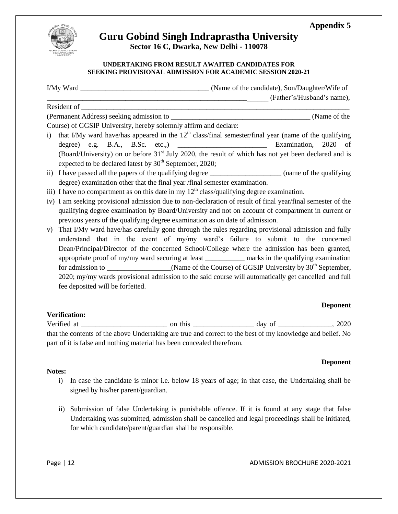



## **Guru Gobind Singh Indraprastha University**

**Sector 16 C, Dwarka, New Delhi - 110078**

#### **UNDERTAKING FROM RESULT AWAITED CANDIDATES FOR SEEKING PROVISIONAL ADMISSION FOR ACADEMIC SESSION 2020-21**

| Resident of                                                                                  | (Father's/Husband's name),                                                                                       |  |  |  |
|----------------------------------------------------------------------------------------------|------------------------------------------------------------------------------------------------------------------|--|--|--|
|                                                                                              |                                                                                                                  |  |  |  |
|                                                                                              | (Name of the                                                                                                     |  |  |  |
| Course) of GGSIP University, hereby solemnly affirm and declare:                             |                                                                                                                  |  |  |  |
| $\mathbf{i}$                                                                                 | that I/My ward have/has appeared in the $12th$ class/final semester/final year (name of the qualifying           |  |  |  |
|                                                                                              |                                                                                                                  |  |  |  |
|                                                                                              | (Board/University) on or before 31 <sup>st</sup> July 2020, the result of which has not yet been declared and is |  |  |  |
| expected to be declared latest by 30 <sup>th</sup> September, 2020;                          |                                                                                                                  |  |  |  |
|                                                                                              | ii) I have passed all the papers of the qualifying degree _____________________ (name of the qualifying          |  |  |  |
| degree) examination other that the final year /final semester examination.                   |                                                                                                                  |  |  |  |
| iii) I have no compartment as on this date in my $12th$ class/qualifying degree examination. |                                                                                                                  |  |  |  |
|                                                                                              | iv) I am seeking provisional admission due to non-declaration of result of final year/final semester of the      |  |  |  |
|                                                                                              | qualifying degree examination by Board/University and not on account of compartment in current or                |  |  |  |
| previous years of the qualifying degree examination as on date of admission.                 |                                                                                                                  |  |  |  |
| V)                                                                                           | That I/My ward have/has carefully gone through the rules regarding provisional admission and fully               |  |  |  |
|                                                                                              | understand that in the event of my/my ward's failure to submit to the concerned                                  |  |  |  |
|                                                                                              | Dean/Principal/Director of the concerned School/College where the admission has been granted,                    |  |  |  |
|                                                                                              | appropriate proof of my/my ward securing at least ____________ marks in the qualifying examination               |  |  |  |
|                                                                                              | for admission to ________________(Name of the Course) of GGSIP University by 30 <sup>th</sup> September,         |  |  |  |
|                                                                                              | 2020; my/my wards provisional admission to the said course will automatically get cancelled and full             |  |  |  |
| fee deposited will be forfeited.                                                             |                                                                                                                  |  |  |  |
|                                                                                              |                                                                                                                  |  |  |  |

#### **Deponent**

**Verification:** Verified at \_\_\_\_\_\_\_\_\_\_\_\_\_\_\_\_\_\_\_\_\_\_\_\_ on this \_\_\_\_\_\_\_\_\_\_\_\_\_\_\_\_\_ day of \_\_\_\_\_\_\_\_\_\_\_\_\_\_\_, 2020 that the contents of the above Undertaking are true and correct to the best of my knowledge and belief. No part of it is false and nothing material has been concealed therefrom.

#### **Deponent**

#### **Notes:**

- i) In case the candidate is minor i.e. below 18 years of age; in that case, the Undertaking shall be signed by his/her parent/guardian.
- ii) Submission of false Undertaking is punishable offence. If it is found at any stage that false Undertaking was submitted, admission shall be cancelled and legal proceedings shall be initiated, for which candidate/parent/guardian shall be responsible.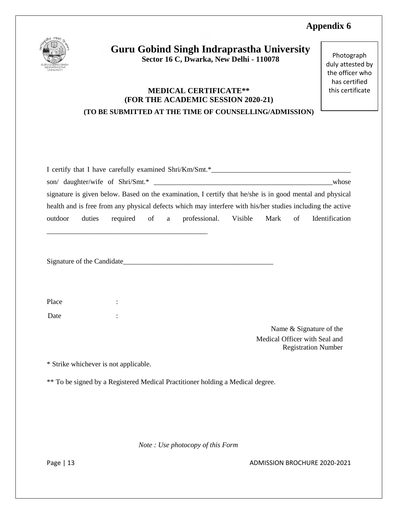

### **Guru Gobind Singh Indraprastha University Sector 16 C, Dwarka, New Delhi - 110078**

### **MEDICAL CERTIFICATE\*\* (FOR THE ACADEMIC SESSION 2020-21) (TO BE SUBMITTED AT THE TIME OF COUNSELLING/ADMISSION)**

Photograph duly attested by the officer who has certified this certificate

| I certify that I have carefully examined Shri/Km/Smt.*                                                     |        |  |  |  |                                             |  |  |                |
|------------------------------------------------------------------------------------------------------------|--------|--|--|--|---------------------------------------------|--|--|----------------|
| son/ daughter/wife of Shri/Smt.*<br>whose                                                                  |        |  |  |  |                                             |  |  |                |
| signature is given below. Based on the examination, I certify that he/she is in good mental and physical   |        |  |  |  |                                             |  |  |                |
| health and is free from any physical defects which may interfere with his/her studies including the active |        |  |  |  |                                             |  |  |                |
| outdoor                                                                                                    | duties |  |  |  | required of a professional. Visible Mark of |  |  | Identification |
|                                                                                                            |        |  |  |  |                                             |  |  |                |
|                                                                                                            |        |  |  |  |                                             |  |  |                |
| Signature of the Candidate                                                                                 |        |  |  |  |                                             |  |  |                |

Place : : Date :

> Name & Signature of the Medical Officer with Seal and Registration Number

\* Strike whichever is not applicable.

\*\* To be signed by a Registered Medical Practitioner holding a Medical degree.

*Note : Use photocopy of this Form* 

Page | 13 ADMISSION BROCHURE 2020-2021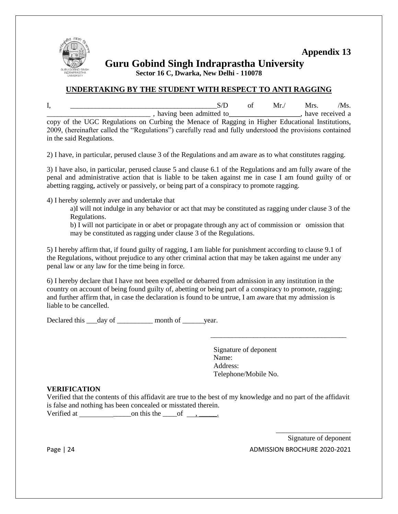

**Guru Gobind Singh Indraprastha University**

**Sector 16 C, Dwarka, New Delhi - 110078**

#### **UNDERTAKING BY THE STUDENT WITH RESPECT TO ANTI RAGGING**

I, \_\_\_\_\_\_\_\_\_\_\_\_\_\_\_\_\_\_\_\_\_\_\_\_\_\_\_\_\_\_\_\_\_\_\_\_\_\_\_\_\_S/D of Mr./ Mrs. /Ms.  $\Box$ , having been admitted to \_\_\_\_\_\_\_\_\_\_\_\_\_\_\_, have received a copy of the UGC Regulations on Curbing the Menace of Ragging in Higher Educational Institutions, 2009, (hereinafter called the "Regulations") carefully read and fully understood the provisions contained in the said Regulations.

2) I have, in particular, perused clause 3 of the Regulations and am aware as to what constitutes ragging.

3) I have also, in particular, perused clause 5 and clause 6.1 of the Regulations and am fully aware of the penal and administrative action that is liable to be taken against me in case I am found guilty of or abetting ragging, actively or passively, or being part of a conspiracy to promote ragging.

4) I hereby solemnly aver and undertake that

a)I will not indulge in any behavior or act that may be constituted as ragging under clause 3 of the Regulations.

b) I will not participate in or abet or propagate through any act of commission or omission that may be constituted as ragging under clause 3 of the Regulations.

5) I hereby affirm that, if found guilty of ragging, I am liable for punishment according to clause 9.1 of the Regulations, without prejudice to any other criminal action that may be taken against me under any penal law or any law for the time being in force.

6) I hereby declare that I have not been expelled or debarred from admission in any institution in the country on account of being found guilty of, abetting or being part of a conspiracy to promote, ragging; and further affirm that, in case the declaration is found to be untrue, I am aware that my admission is liable to be cancelled.

Declared this day of month of year.

Signature of deponent Name: Address: Telephone/Mobile No.

\_\_\_\_\_\_\_\_\_\_\_\_\_\_\_\_\_\_\_\_\_\_\_\_\_\_\_\_\_\_\_\_\_\_\_\_\_\_

#### **VERIFICATION**

Verified that the contents of this affidavit are true to the best of my knowledge and no part of the affidavit is false and nothing has been concealed or misstated therein.

Verified at  $\qquad \qquad \text{on this the } \qquad \text{of } \quad , \qquad \text{.}$ 

Page | 24 ADMISSION BROCHURE 2020-2021 Signature of deponent

\_\_\_\_\_\_\_\_\_\_\_\_\_\_\_\_\_\_\_\_\_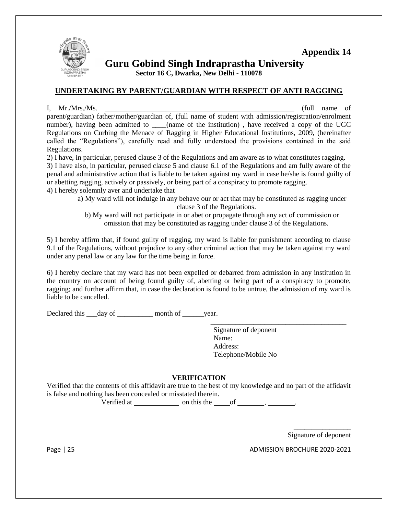

**Guru Gobind Singh Indraprastha University**

**Sector 16 C, Dwarka, New Delhi - 110078**

#### **UNDERTAKING BY PARENT/GUARDIAN WITH RESPECT OF ANTI RAGGING**

I,  $Mr/Mrs/Ms$ .  $(full name of$ parent/guardian) father/mother/guardian of, (full name of student with admission/registration/enrolment number), having been admitted to (name of the institution), have received a copy of the UGC Regulations on Curbing the Menace of Ragging in Higher Educational Institutions, 2009, (hereinafter called the "Regulations"), carefully read and fully understood the provisions contained in the said Regulations.

2) I have, in particular, perused clause 3 of the Regulations and am aware as to what constitutes ragging. 3) I have also, in particular, perused clause 5 and clause 6.1 of the Regulations and am fully aware of the penal and administrative action that is liable to be taken against my ward in case he/she is found guilty of or abetting ragging, actively or passively, or being part of a conspiracy to promote ragging. 4) I hereby solemnly aver and undertake that

a) My ward will not indulge in any behave our or act that may be constituted as ragging under clause 3 of the Regulations.

b) My ward will not participate in or abet or propagate through any act of commission or omission that may be constituted as ragging under clause 3 of the Regulations.

5) I hereby affirm that, if found guilty of ragging, my ward is liable for punishment according to clause 9.1 of the Regulations, without prejudice to any other criminal action that may be taken against my ward under any penal law or any law for the time being in force.

6) I hereby declare that my ward has not been expelled or debarred from admission in any institution in the country on account of being found guilty of, abetting or being part of a conspiracy to promote, ragging; and further affirm that, in case the declaration is found to be untrue, the admission of my ward is liable to be cancelled.

Declared this \_\_\_day of \_\_\_\_\_\_\_\_\_\_\_ month of \_\_\_\_\_\_year.

Signature of deponent Name: Address: Telephone/Mobile No

\_\_\_\_\_\_\_\_\_\_\_\_\_\_\_\_\_\_\_\_\_\_\_\_\_\_\_\_\_\_\_\_\_\_\_\_\_\_

#### **VERIFICATION**

Verified that the contents of this affidavit are true to the best of my knowledge and no part of the affidavit is false and nothing has been concealed or misstated therein.

Verified at  $\frac{\ }{\ }$  on this the  $\frac{\ }{\ }$  of  $\frac{\ }{\ }$ .

\_\_\_\_\_\_\_\_\_\_\_\_\_\_\_\_ Signature of deponent

Page | 25 ADMISSION BROCHURE 2020-2021